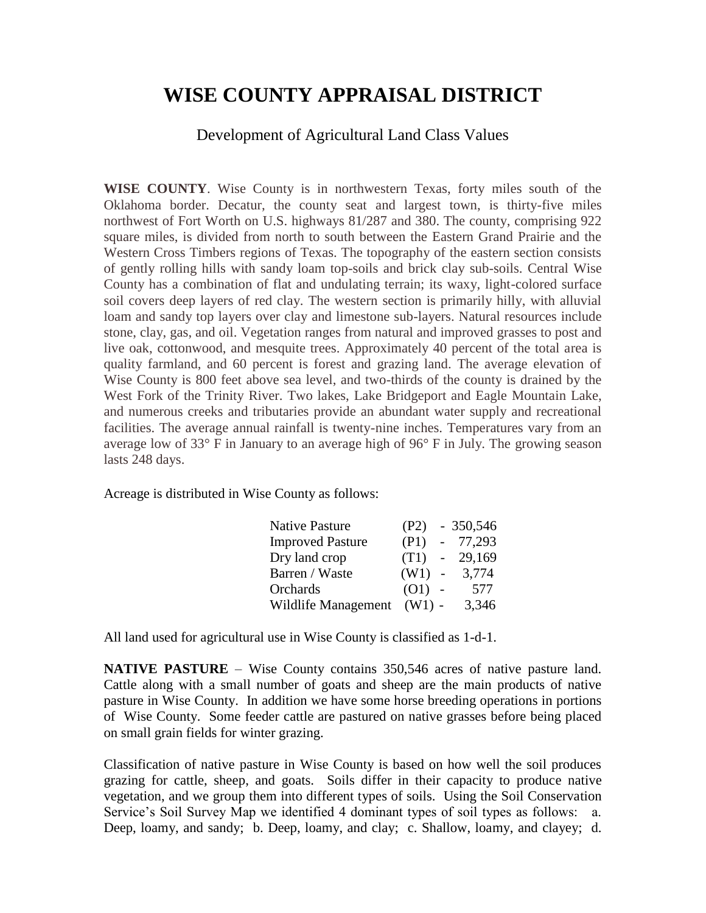## **WISE COUNTY APPRAISAL DISTRICT**

Development of Agricultural Land Class Values

**WISE COUNTY**. Wise County is in northwestern Texas, forty miles south of the Oklahoma border. Decatur, the county seat and largest town, is thirty-five miles northwest of Fort Worth on U.S. highways 81/287 and 380. The county, comprising 922 square miles, is divided from north to south between the Eastern Grand Prairie and the Western Cross Timbers regions of Texas. The topography of the eastern section consists of gently rolling hills with sandy loam top-soils and brick clay sub-soils. Central Wise County has a combination of flat and undulating terrain; its waxy, light-colored surface soil covers deep layers of red clay. The western section is primarily hilly, with alluvial loam and sandy top layers over clay and limestone sub-layers. Natural resources include stone, clay, gas, and oil. Vegetation ranges from natural and improved grasses to post and live oak, cottonwood, and mesquite trees. Approximately 40 percent of the total area is quality farmland, and 60 percent is forest and grazing land. The average elevation of Wise County is 800 feet above sea level, and two-thirds of the county is drained by the West Fork of the Trinity River. Two lakes, Lake Bridgeport and Eagle Mountain Lake, and numerous creeks and tributaries provide an abundant water supply and recreational facilities. The average annual rainfall is twenty-nine inches. Temperatures vary from an average low of 33° F in January to an average high of 96° F in July. The growing season lasts 248 days.

Acreage is distributed in Wise County as follows:

| <b>Native Pasture</b>   | (P2)     |                          | $-350,546$ |
|-------------------------|----------|--------------------------|------------|
| <b>Improved Pasture</b> | (P1)     | $\sim$                   | 77,293     |
| Dry land crop           | (T1)     | $\overline{\phantom{a}}$ | 29,169     |
| Barren / Waste          | (W1)     | $\overline{\phantom{a}}$ | 3,774      |
| Orchards                | (O1)     |                          | 577        |
| Wildlife Management     | $(W1)$ - |                          | 3,346      |

All land used for agricultural use in Wise County is classified as 1-d-1.

**NATIVE PASTURE** – Wise County contains 350,546 acres of native pasture land. Cattle along with a small number of goats and sheep are the main products of native pasture in Wise County. In addition we have some horse breeding operations in portions of Wise County. Some feeder cattle are pastured on native grasses before being placed on small grain fields for winter grazing.

Classification of native pasture in Wise County is based on how well the soil produces grazing for cattle, sheep, and goats. Soils differ in their capacity to produce native vegetation, and we group them into different types of soils. Using the Soil Conservation Service's Soil Survey Map we identified 4 dominant types of soil types as follows: a. Deep, loamy, and sandy; b. Deep, loamy, and clay; c. Shallow, loamy, and clayey; d.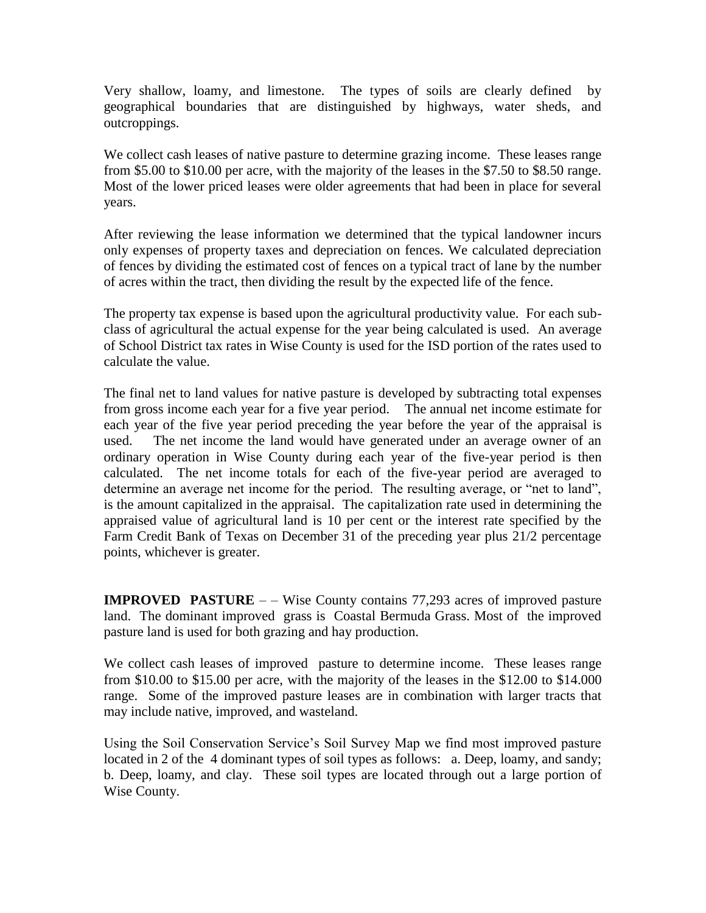Very shallow, loamy, and limestone. The types of soils are clearly defined by geographical boundaries that are distinguished by highways, water sheds, and outcroppings.

We collect cash leases of native pasture to determine grazing income. These leases range from \$5.00 to \$10.00 per acre, with the majority of the leases in the \$7.50 to \$8.50 range. Most of the lower priced leases were older agreements that had been in place for several years.

After reviewing the lease information we determined that the typical landowner incurs only expenses of property taxes and depreciation on fences. We calculated depreciation of fences by dividing the estimated cost of fences on a typical tract of lane by the number of acres within the tract, then dividing the result by the expected life of the fence.

The property tax expense is based upon the agricultural productivity value. For each subclass of agricultural the actual expense for the year being calculated is used. An average of School District tax rates in Wise County is used for the ISD portion of the rates used to calculate the value.

The final net to land values for native pasture is developed by subtracting total expenses from gross income each year for a five year period. The annual net income estimate for each year of the five year period preceding the year before the year of the appraisal is used. The net income the land would have generated under an average owner of an ordinary operation in Wise County during each year of the five-year period is then calculated. The net income totals for each of the five-year period are averaged to determine an average net income for the period. The resulting average, or "net to land", is the amount capitalized in the appraisal. The capitalization rate used in determining the appraised value of agricultural land is 10 per cent or the interest rate specified by the Farm Credit Bank of Texas on December 31 of the preceding year plus 21/2 percentage points, whichever is greater.

**IMPROVED PASTURE** – – Wise County contains 77,293 acres of improved pasture land. The dominant improved grass is Coastal Bermuda Grass. Most of the improved pasture land is used for both grazing and hay production.

We collect cash leases of improved pasture to determine income. These leases range from \$10.00 to \$15.00 per acre, with the majority of the leases in the \$12.00 to \$14.000 range. Some of the improved pasture leases are in combination with larger tracts that may include native, improved, and wasteland.

Using the Soil Conservation Service's Soil Survey Map we find most improved pasture located in 2 of the 4 dominant types of soil types as follows: a. Deep, loamy, and sandy; b. Deep, loamy, and clay. These soil types are located through out a large portion of Wise County.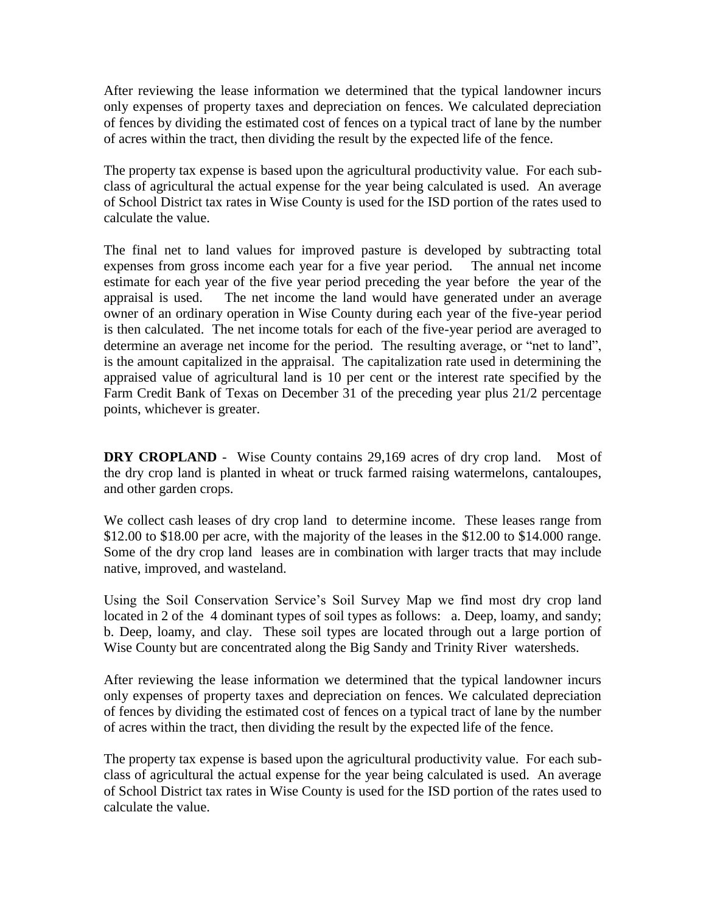After reviewing the lease information we determined that the typical landowner incurs only expenses of property taxes and depreciation on fences. We calculated depreciation of fences by dividing the estimated cost of fences on a typical tract of lane by the number of acres within the tract, then dividing the result by the expected life of the fence.

The property tax expense is based upon the agricultural productivity value. For each subclass of agricultural the actual expense for the year being calculated is used. An average of School District tax rates in Wise County is used for the ISD portion of the rates used to calculate the value.

The final net to land values for improved pasture is developed by subtracting total expenses from gross income each year for a five year period. The annual net income estimate for each year of the five year period preceding the year before the year of the appraisal is used. The net income the land would have generated under an average owner of an ordinary operation in Wise County during each year of the five-year period is then calculated. The net income totals for each of the five-year period are averaged to determine an average net income for the period. The resulting average, or "net to land", is the amount capitalized in the appraisal. The capitalization rate used in determining the appraised value of agricultural land is 10 per cent or the interest rate specified by the Farm Credit Bank of Texas on December 31 of the preceding year plus 21/2 percentage points, whichever is greater.

**DRY CROPLAND** - Wise County contains 29,169 acres of dry crop land. Most of the dry crop land is planted in wheat or truck farmed raising watermelons, cantaloupes, and other garden crops.

We collect cash leases of dry crop land to determine income. These leases range from \$12.00 to \$18.00 per acre, with the majority of the leases in the \$12.00 to \$14.000 range. Some of the dry crop land leases are in combination with larger tracts that may include native, improved, and wasteland.

Using the Soil Conservation Service's Soil Survey Map we find most dry crop land located in 2 of the 4 dominant types of soil types as follows: a. Deep, loamy, and sandy; b. Deep, loamy, and clay. These soil types are located through out a large portion of Wise County but are concentrated along the Big Sandy and Trinity River watersheds.

After reviewing the lease information we determined that the typical landowner incurs only expenses of property taxes and depreciation on fences. We calculated depreciation of fences by dividing the estimated cost of fences on a typical tract of lane by the number of acres within the tract, then dividing the result by the expected life of the fence.

The property tax expense is based upon the agricultural productivity value. For each subclass of agricultural the actual expense for the year being calculated is used. An average of School District tax rates in Wise County is used for the ISD portion of the rates used to calculate the value.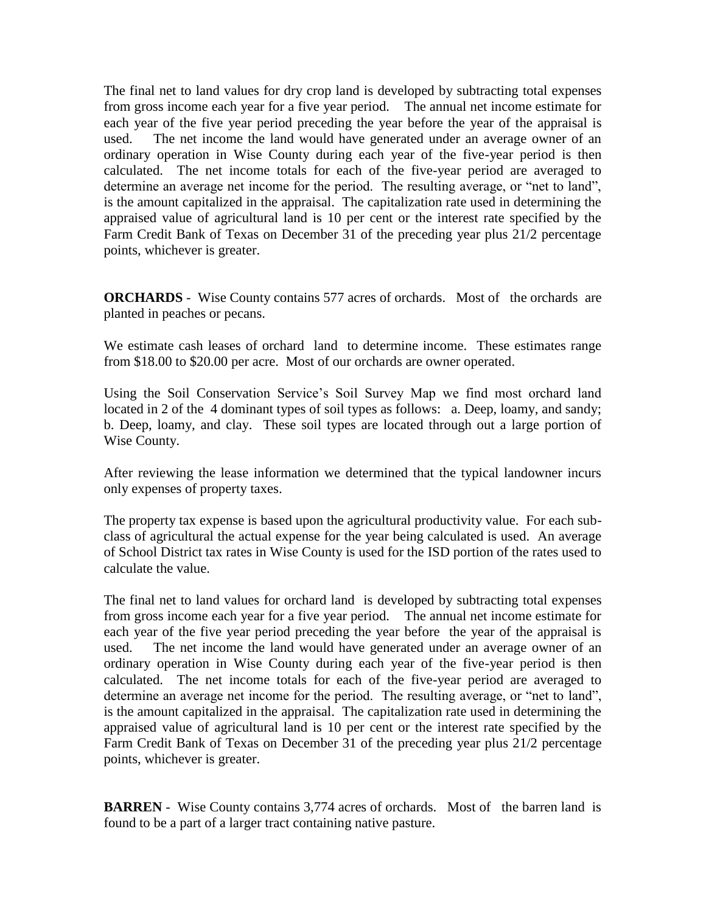The final net to land values for dry crop land is developed by subtracting total expenses from gross income each year for a five year period. The annual net income estimate for each year of the five year period preceding the year before the year of the appraisal is used. The net income the land would have generated under an average owner of an ordinary operation in Wise County during each year of the five-year period is then calculated. The net income totals for each of the five-year period are averaged to determine an average net income for the period. The resulting average, or "net to land", is the amount capitalized in the appraisal. The capitalization rate used in determining the appraised value of agricultural land is 10 per cent or the interest rate specified by the Farm Credit Bank of Texas on December 31 of the preceding year plus 21/2 percentage points, whichever is greater.

**ORCHARDS** - Wise County contains 577 acres of orchards. Most of the orchards are planted in peaches or pecans.

We estimate cash leases of orchard land to determine income. These estimates range from \$18.00 to \$20.00 per acre. Most of our orchards are owner operated.

Using the Soil Conservation Service's Soil Survey Map we find most orchard land located in 2 of the 4 dominant types of soil types as follows: a. Deep, loamy, and sandy; b. Deep, loamy, and clay. These soil types are located through out a large portion of Wise County.

After reviewing the lease information we determined that the typical landowner incurs only expenses of property taxes.

The property tax expense is based upon the agricultural productivity value. For each subclass of agricultural the actual expense for the year being calculated is used. An average of School District tax rates in Wise County is used for the ISD portion of the rates used to calculate the value.

The final net to land values for orchard land is developed by subtracting total expenses from gross income each year for a five year period. The annual net income estimate for each year of the five year period preceding the year before the year of the appraisal is used. The net income the land would have generated under an average owner of an ordinary operation in Wise County during each year of the five-year period is then calculated. The net income totals for each of the five-year period are averaged to determine an average net income for the period. The resulting average, or "net to land", is the amount capitalized in the appraisal. The capitalization rate used in determining the appraised value of agricultural land is 10 per cent or the interest rate specified by the Farm Credit Bank of Texas on December 31 of the preceding year plus 21/2 percentage points, whichever is greater.

**BARREN** - Wise County contains 3,774 acres of orchards. Most of the barren land is found to be a part of a larger tract containing native pasture.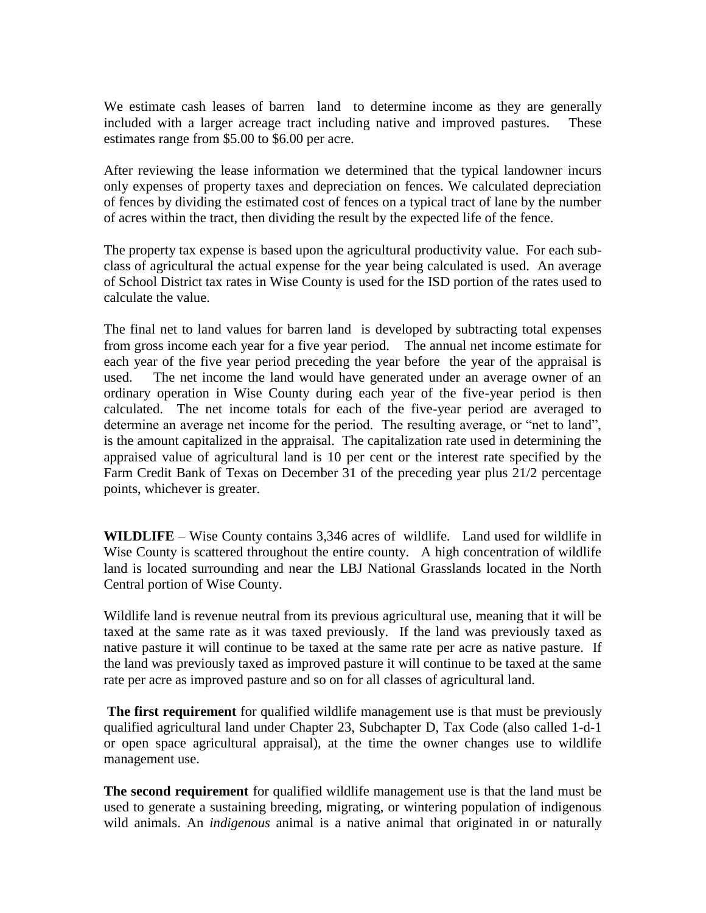We estimate cash leases of barren land to determine income as they are generally included with a larger acreage tract including native and improved pastures. These estimates range from \$5.00 to \$6.00 per acre.

After reviewing the lease information we determined that the typical landowner incurs only expenses of property taxes and depreciation on fences. We calculated depreciation of fences by dividing the estimated cost of fences on a typical tract of lane by the number of acres within the tract, then dividing the result by the expected life of the fence.

The property tax expense is based upon the agricultural productivity value. For each subclass of agricultural the actual expense for the year being calculated is used. An average of School District tax rates in Wise County is used for the ISD portion of the rates used to calculate the value.

The final net to land values for barren land is developed by subtracting total expenses from gross income each year for a five year period. The annual net income estimate for each year of the five year period preceding the year before the year of the appraisal is used. The net income the land would have generated under an average owner of an ordinary operation in Wise County during each year of the five-year period is then calculated. The net income totals for each of the five-year period are averaged to determine an average net income for the period. The resulting average, or "net to land", is the amount capitalized in the appraisal. The capitalization rate used in determining the appraised value of agricultural land is 10 per cent or the interest rate specified by the Farm Credit Bank of Texas on December 31 of the preceding year plus 21/2 percentage points, whichever is greater.

**WILDLIFE** – Wise County contains 3,346 acres of wildlife. Land used for wildlife in Wise County is scattered throughout the entire county. A high concentration of wildlife land is located surrounding and near the LBJ National Grasslands located in the North Central portion of Wise County.

Wildlife land is revenue neutral from its previous agricultural use, meaning that it will be taxed at the same rate as it was taxed previously. If the land was previously taxed as native pasture it will continue to be taxed at the same rate per acre as native pasture. If the land was previously taxed as improved pasture it will continue to be taxed at the same rate per acre as improved pasture and so on for all classes of agricultural land.

**The first requirement** for qualified wildlife management use is that must be previously qualified agricultural land under Chapter 23, Subchapter D, Tax Code (also called 1-d-1 or open space agricultural appraisal), at the time the owner changes use to wildlife management use.

**The second requirement** for qualified wildlife management use is that the land must be used to generate a sustaining breeding, migrating, or wintering population of indigenous wild animals. An *indigenous* animal is a native animal that originated in or naturally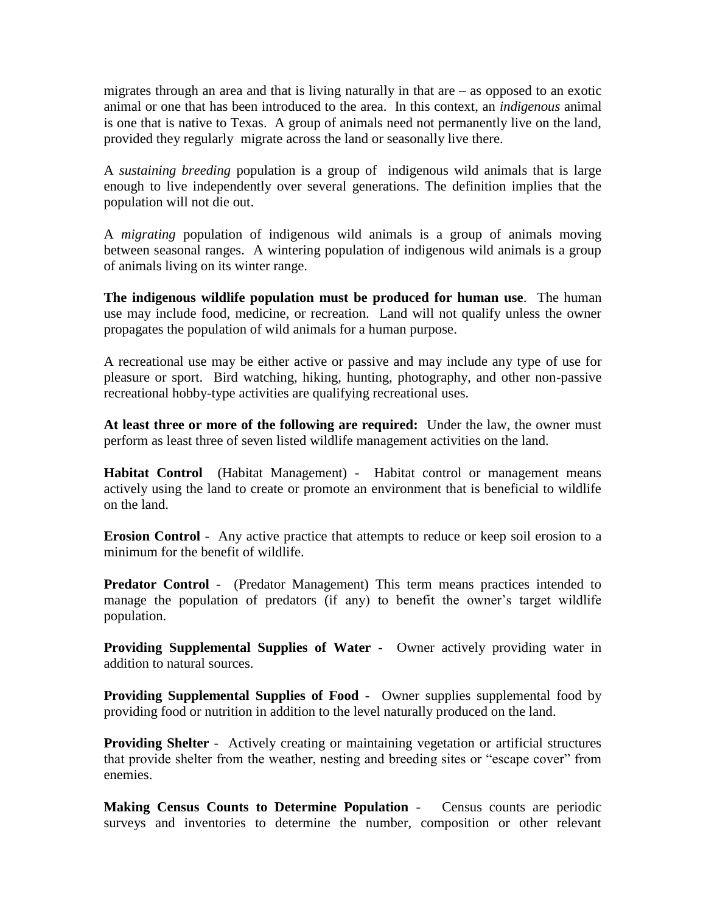migrates through an area and that is living naturally in that are  $-$  as opposed to an exotic animal or one that has been introduced to the area. In this context, an *indigenous* animal is one that is native to Texas. A group of animals need not permanently live on the land, provided they regularly migrate across the land or seasonally live there.

A *sustaining breeding* population is a group of indigenous wild animals that is large enough to live independently over several generations. The definition implies that the population will not die out.

A *migrating* population of indigenous wild animals is a group of animals moving between seasonal ranges. A wintering population of indigenous wild animals is a group of animals living on its winter range.

**The indigenous wildlife population must be produced for human use**. The human use may include food, medicine, or recreation. Land will not qualify unless the owner propagates the population of wild animals for a human purpose.

A recreational use may be either active or passive and may include any type of use for pleasure or sport. Bird watching, hiking, hunting, photography, and other non-passive recreational hobby-type activities are qualifying recreational uses.

**At least three or more of the following are required:** Under the law, the owner must perform as least three of seven listed wildlife management activities on the land.

**Habitat Control** (Habitat Management) - Habitat control or management means actively using the land to create or promote an environment that is beneficial to wildlife on the land.

**Erosion Control** - Any active practice that attempts to reduce or keep soil erosion to a minimum for the benefit of wildlife.

**Predator Control** - (Predator Management) This term means practices intended to manage the population of predators (if any) to benefit the owner's target wildlife population.

**Providing Supplemental Supplies of Water** - Owner actively providing water in addition to natural sources.

**Providing Supplemental Supplies of Food** - Owner supplies supplemental food by providing food or nutrition in addition to the level naturally produced on the land.

**Providing Shelter** - Actively creating or maintaining vegetation or artificial structures that provide shelter from the weather, nesting and breeding sites or "escape cover" from enemies.

**Making Census Counts to Determine Population** - Census counts are periodic surveys and inventories to determine the number, composition or other relevant